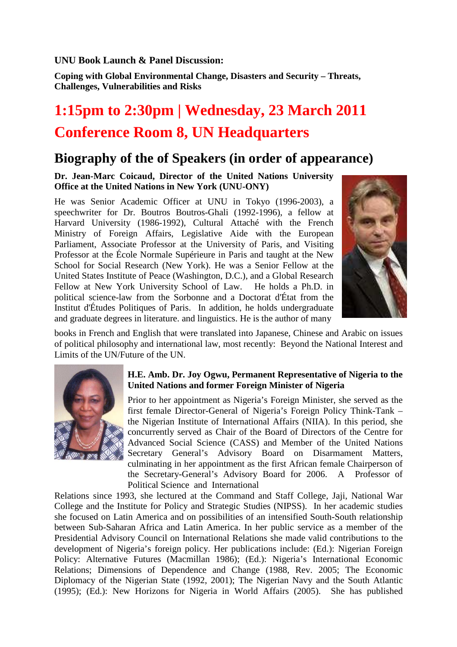**UNU Book Launch & Panel Discussion:** 

**Coping with Global Environmental Change, Disasters and Security – Threats, Challenges, Vulnerabilities and Risks** 

# **1:15pm to 2:30pm | Wednesday, 23 March 2011 Conference Room 8, UN Headquarters**

# **Biography of the of Speakers (in order of appearance)**

**Dr. Jean-Marc Coicaud, Director of the United Nations University Office at the United Nations in New York (UNU-ONY)** 

He was Senior Academic Officer at UNU in Tokyo (1996-2003), a speechwriter for Dr. Boutros Boutros-Ghali (1992-1996), a fellow at Harvard University (1986-1992), Cultural Attaché with the French Ministry of Foreign Affairs, Legislative Aide with the European Parliament, Associate Professor at the University of Paris, and Visiting Professor at the École Normale Supérieure in Paris and taught at the New School for Social Research (New York). He was a Senior Fellow at the United States Institute of Peace (Washington, D.C.), and a Global Research Fellow at New York University School of Law. He holds a Ph.D. in political science-law from the Sorbonne and a Doctorat d'État from the Institut d'Études Politiques of Paris. In addition, he holds undergraduate and graduate degrees in literature. and linguistics. He is the author of many



books in French and English that were translated into Japanese, Chinese and Arabic on issues of political philosophy and international law, most recently: Beyond the National Interest and Limits of the UN/Future of the UN.



#### **H.E. Amb. Dr. Joy Ogwu, Permanent Representative of Nigeria to the United Nations and former Foreign Minister of Nigeria**

Prior to her appointment as Nigeria's Foreign Minister, she served as the first female Director-General of Nigeria's Foreign Policy Think-Tank – the Nigerian Institute of International Affairs (NIIA). In this period, she concurrently served as Chair of the Board of Directors of the Centre for Advanced Social Science (CASS) and Member of the United Nations Secretary General's Advisory Board on Disarmament Matters, culminating in her appointment as the first African female Chairperson of the Secretary-General's Advisory Board for 2006. A Professor of Political Science and International

Relations since 1993, she lectured at the Command and Staff College, Jaji, National War College and the Institute for Policy and Strategic Studies (NIPSS). In her academic studies she focused on Latin America and on possibilities of an intensified South-South relationship between Sub-Saharan Africa and Latin America. In her public service as a member of the Presidential Advisory Council on International Relations she made valid contributions to the development of Nigeria's foreign policy. Her publications include: (Ed.): Nigerian Foreign Policy: Alternative Futures (Macmillan 1986); (Ed.): Nigeria's International Economic Relations; Dimensions of Dependence and Change (1988, Rev. 2005; The Economic Diplomacy of the Nigerian State (1992, 2001); The Nigerian Navy and the South Atlantic (1995); (Ed.): New Horizons for Nigeria in World Affairs (2005). She has published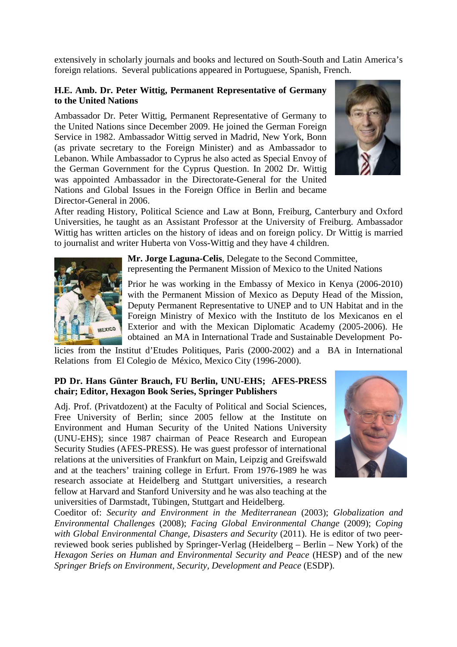extensively in scholarly journals and books and lectured on South-South and Latin America's foreign relations. Several publications appeared in Portuguese, Spanish, French.

#### **H.E. Amb. Dr. Peter Wittig, Permanent Representative of Germany to the United Nations**

Ambassador Dr. Peter Wittig, Permanent Representative of Germany to the United Nations since December 2009. He joined the German Foreign Service in 1982. Ambassador Wittig served in Madrid, New York, Bonn (as private secretary to the Foreign Minister) and as Ambassador to Lebanon. While Ambassador to Cyprus he also acted as Special Envoy of the German Government for the Cyprus Question. In 2002 Dr. Wittig was appointed Ambassador in the Directorate-General for the United Nations and Global Issues in the Foreign Office in Berlin and became Director-General in 2006.



After reading History, Political Science and Law at Bonn, Freiburg, Canterbury and Oxford Universities, he taught as an Assistant Professor at the University of Freiburg. Ambassador Wittig has written articles on the history of ideas and on foreign policy. Dr Wittig is married to journalist and writer Huberta von Voss-Wittig and they have 4 children.



**Mr. Jorge Laguna-Celis**, Delegate to the Second Committee, representing the Permanent Mission of Mexico to the United Nations

Prior he was working in the Embassy of Mexico in Kenya (2006-2010) with the Permanent Mission of Mexico as Deputy Head of the Mission, Deputy Permanent Representative to UNEP and to UN Habitat and in the Foreign Ministry of Mexico with the Instituto de los Mexicanos en el Exterior and with the Mexican Diplomatic Academy (2005-2006). He obtained an MA in International Trade and Sustainable Development Po-

licies from the Institut d'Etudes Politiques, Paris (2000-2002) and a BA in International Relations from El Colegio de México, Mexico City (1996-2000).

### **PD Dr. Hans Günter Brauch, FU Berlin, UNU-EHS; AFES-PRESS chair; Editor, Hexagon Book Series, Springer Publishers**

Adj. Prof. (Privatdozent) at the Faculty of Political and Social Sciences, Free University of Berlin; since 2005 fellow at the Institute on Environment and Human Security of the United Nations University (UNU-EHS); since 1987 chairman of Peace Research and European Security Studies (AFES-PRESS). He was guest professor of international relations at the universities of Frankfurt on Main, Leipzig and Greifswald and at the teachers' training college in Erfurt. From 1976-1989 he was research associate at Heidelberg and Stuttgart universities, a research fellow at Harvard and Stanford University and he was also teaching at the universities of Darmstadt, Tübingen, Stuttgart and Heidelberg.



Coeditor of: *Security and Environment in the Mediterranean* (2003); *Globalization and Environmental Challenges* (2008); *Facing Global Environmental Change* (2009); *Coping with Global Environmental Change, Disasters and Security* (2011). He is editor of two peerreviewed book series published by Springer-Verlag (Heidelberg – Berlin – New York) of the *Hexagon Series on Human and Environmental Security and Peace* (HESP) and of the new *Springer Briefs on Environment, Security, Development and Peace* (ESDP).